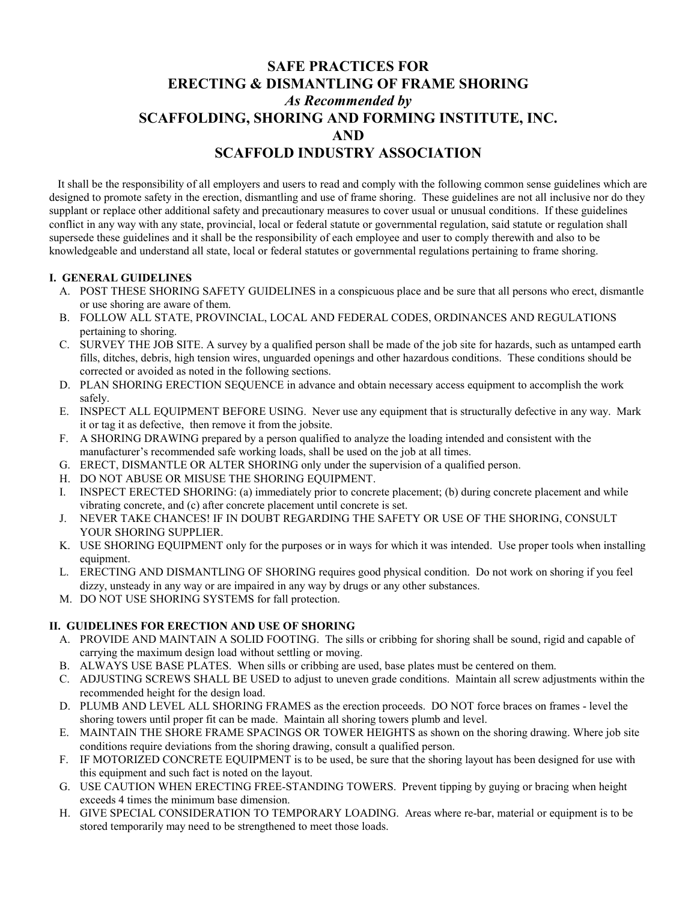## **SAFE PRACTICES FOR ERECTING & DISMANTLING OF FRAME SHORING**  *As Recommended by* **SCAFFOLDING, SHORING AND FORMING INSTITUTE, INC. AND SCAFFOLD INDUSTRY ASSOCIATION**

 It shall be the responsibility of all employers and users to read and comply with the following common sense guidelines which are designed to promote safety in the erection, dismantling and use of frame shoring. These guidelines are not all inclusive nor do they supplant or replace other additional safety and precautionary measures to cover usual or unusual conditions. If these guidelines conflict in any way with any state, provincial, local or federal statute or governmental regulation, said statute or regulation shall supersede these guidelines and it shall be the responsibility of each employee and user to comply therewith and also to be knowledgeable and understand all state, local or federal statutes or governmental regulations pertaining to frame shoring.

## **I. GENERAL GUIDELINES**

- A. POST THESE SHORING SAFETY GUIDELINES in a conspicuous place and be sure that all persons who erect, dismantle or use shoring are aware of them.
- B. FOLLOW ALL STATE, PROVINCIAL, LOCAL AND FEDERAL CODES, ORDINANCES AND REGULATIONS pertaining to shoring.
- C. SURVEY THE JOB SITE. A survey by a qualified person shall be made of the job site for hazards, such as untamped earth fills, ditches, debris, high tension wires, unguarded openings and other hazardous conditions. These conditions should be corrected or avoided as noted in the following sections.
- D. PLAN SHORING ERECTION SEQUENCE in advance and obtain necessary access equipment to accomplish the work safely.
- E. INSPECT ALL EQUIPMENT BEFORE USING. Never use any equipment that is structurally defective in any way. Mark it or tag it as defective, then remove it from the jobsite.
- F. A SHORING DRAWING prepared by a person qualified to analyze the loading intended and consistent with the manufacturer's recommended safe working loads, shall be used on the job at all times.
- G. ERECT, DISMANTLE OR ALTER SHORING only under the supervision of a qualified person.
- H. DO NOT ABUSE OR MISUSE THE SHORING EQUIPMENT.
- I. INSPECT ERECTED SHORING: (a) immediately prior to concrete placement; (b) during concrete placement and while vibrating concrete, and (c) after concrete placement until concrete is set.
- J. NEVER TAKE CHANCES! IF IN DOUBT REGARDING THE SAFETY OR USE OF THE SHORING, CONSULT YOUR SHORING SUPPLIER.
- K. USE SHORING EQUIPMENT only for the purposes or in ways for which it was intended. Use proper tools when installing equipment.
- L. ERECTING AND DISMANTLING OF SHORING requires good physical condition. Do not work on shoring if you feel dizzy, unsteady in any way or are impaired in any way by drugs or any other substances.
- M. DO NOT USE SHORING SYSTEMS for fall protection.

## **II. GUIDELINES FOR ERECTION AND USE OF SHORING**

- A. PROVIDE AND MAINTAIN A SOLID FOOTING. The sills or cribbing for shoring shall be sound, rigid and capable of carrying the maximum design load without settling or moving.
- B. ALWAYS USE BASE PLATES. When sills or cribbing are used, base plates must be centered on them.
- C. ADJUSTING SCREWS SHALL BE USED to adjust to uneven grade conditions. Maintain all screw adjustments within the recommended height for the design load.
- D. PLUMB AND LEVEL ALL SHORING FRAMES as the erection proceeds. DO NOT force braces on frames level the shoring towers until proper fit can be made. Maintain all shoring towers plumb and level.
- E. MAINTAIN THE SHORE FRAME SPACINGS OR TOWER HEIGHTS as shown on the shoring drawing. Where job site conditions require deviations from the shoring drawing, consult a qualified person.
- F. IF MOTORIZED CONCRETE EQUIPMENT is to be used, be sure that the shoring layout has been designed for use with this equipment and such fact is noted on the layout.
- G. USE CAUTION WHEN ERECTING FREE-STANDING TOWERS. Prevent tipping by guying or bracing when height exceeds 4 times the minimum base dimension.
- H. GIVE SPECIAL CONSIDERATION TO TEMPORARY LOADING. Areas where re-bar, material or equipment is to be stored temporarily may need to be strengthened to meet those loads.